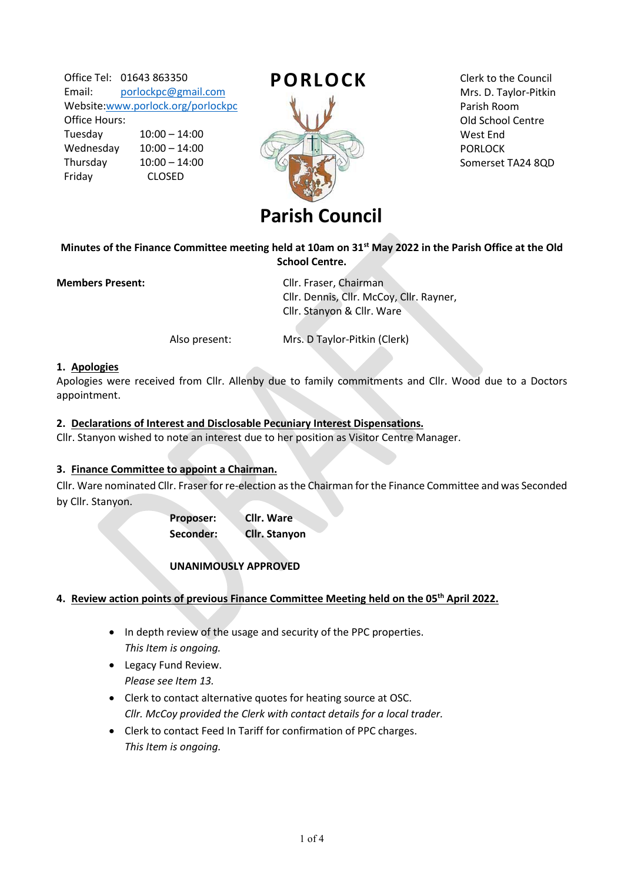Office Tel: 01643 863350 Email: [porlockpc@gmail.com](mailto:porlockpc@gmail.com) Website[:www.porlock.org/porlockpc](http://www.porlock.org/porlockpc) Office Hours: Tuesday 10:00 – 14:00 Wednesday 10:00 – 14:00 Thursday 10:00 – 14:00 Friday CLOSED



Clerk to the Council Mrs. D. Taylor-Pitkin Parish Room Old School Centre West End PORLOCK Somerset TA24 8QD

## **Minutes of the Finance Committee meeting held at 10am on 31st May 2022 in the Parish Office at the Old School Centre.**

**Members Present: Cllr. Fraser, Chairman**  Cllr. Dennis, Cllr. McCoy, Cllr. Rayner, Cllr. Stanyon & Cllr. Ware

Also present: Mrs. D Taylor-Pitkin (Clerk)

### **1. Apologies**

Apologies were received from Cllr. Allenby due to family commitments and Cllr. Wood due to a Doctors appointment.

### **2. Declarations of Interest and Disclosable Pecuniary Interest Dispensations.**

Cllr. Stanyon wished to note an interest due to her position as Visitor Centre Manager.

#### **3. Finance Committee to appoint a Chairman.**

Cllr. Ware nominated Cllr. Fraser for re-election as the Chairman for the Finance Committee and was Seconded by Cllr. Stanyon.

> **Proposer: Cllr. Ware Seconder: Cllr. Stanyon**

# **UNANIMOUSLY APPROVED**

#### **4. Review action points of previous Finance Committee Meeting held on the 05th April 2022.**

- In depth review of the usage and security of the PPC properties. *This Item is ongoing.*
- Legacy Fund Review. *Please see Item 13.*
- Clerk to contact alternative quotes for heating source at OSC. *Cllr. McCoy provided the Clerk with contact details for a local trader.*
- Clerk to contact Feed In Tariff for confirmation of PPC charges. *This Item is ongoing.*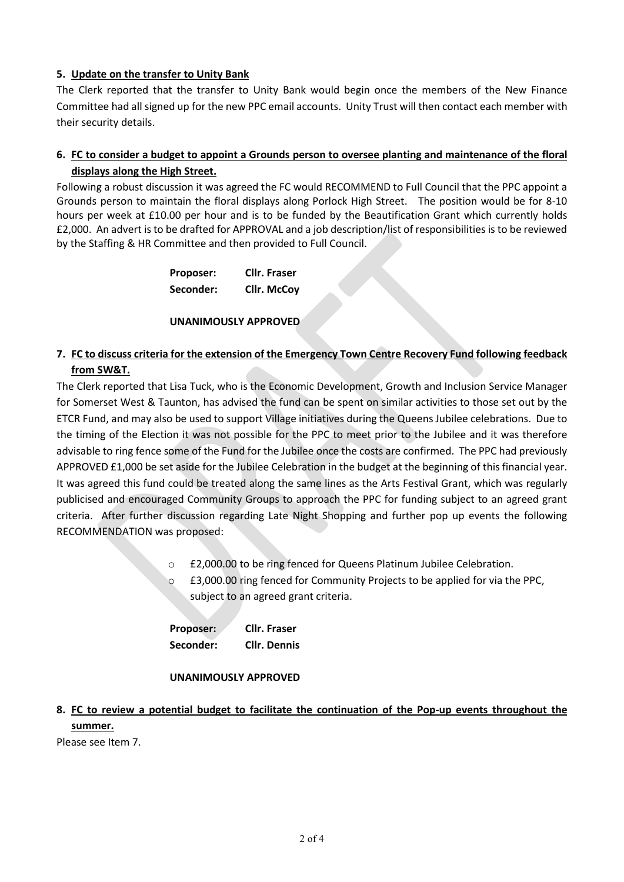# **5. Update on the transfer to Unity Bank**

The Clerk reported that the transfer to Unity Bank would begin once the members of the New Finance Committee had all signed up for the new PPC email accounts. Unity Trust will then contact each member with their security details.

# **6. FC to consider a budget to appoint a Grounds person to oversee planting and maintenance of the floral displays along the High Street.**

Following a robust discussion it was agreed the FC would RECOMMEND to Full Council that the PPC appoint a Grounds person to maintain the floral displays along Porlock High Street. The position would be for 8-10 hours per week at £10.00 per hour and is to be funded by the Beautification Grant which currently holds £2,000. An advert is to be drafted for APPROVAL and a job description/list of responsibilities is to be reviewed by the Staffing & HR Committee and then provided to Full Council.

| Proposer: | <b>Cllr. Fraser</b> |
|-----------|---------------------|
| Seconder: | <b>Cllr. McCoy</b>  |

#### **UNANIMOUSLY APPROVED**

# **7. FC to discuss criteria for the extension of the Emergency Town Centre Recovery Fund following feedback from SW&T.**

The Clerk reported that Lisa Tuck, who is the Economic Development, Growth and Inclusion Service Manager for Somerset West & Taunton, has advised the fund can be spent on similar activities to those set out by the ETCR Fund, and may also be used to support Village initiatives during the Queens Jubilee celebrations. Due to the timing of the Election it was not possible for the PPC to meet prior to the Jubilee and it was therefore advisable to ring fence some of the Fund for the Jubilee once the costs are confirmed. The PPC had previously APPROVED £1,000 be set aside for the Jubilee Celebration in the budget at the beginning of this financial year. It was agreed this fund could be treated along the same lines as the Arts Festival Grant, which was regularly publicised and encouraged Community Groups to approach the PPC for funding subject to an agreed grant criteria. After further discussion regarding Late Night Shopping and further pop up events the following RECOMMENDATION was proposed:

- o £2,000.00 to be ring fenced for Queens Platinum Jubilee Celebration.
- o £3,000.00 ring fenced for Community Projects to be applied for via the PPC, subject to an agreed grant criteria.

| Proposer: | <b>Cllr. Fraser</b> |
|-----------|---------------------|
| Seconder: | <b>Cllr. Dennis</b> |

#### **UNANIMOUSLY APPROVED**

# **8. FC to review a potential budget to facilitate the continuation of the Pop-up events throughout the summer.**

Please see Item 7.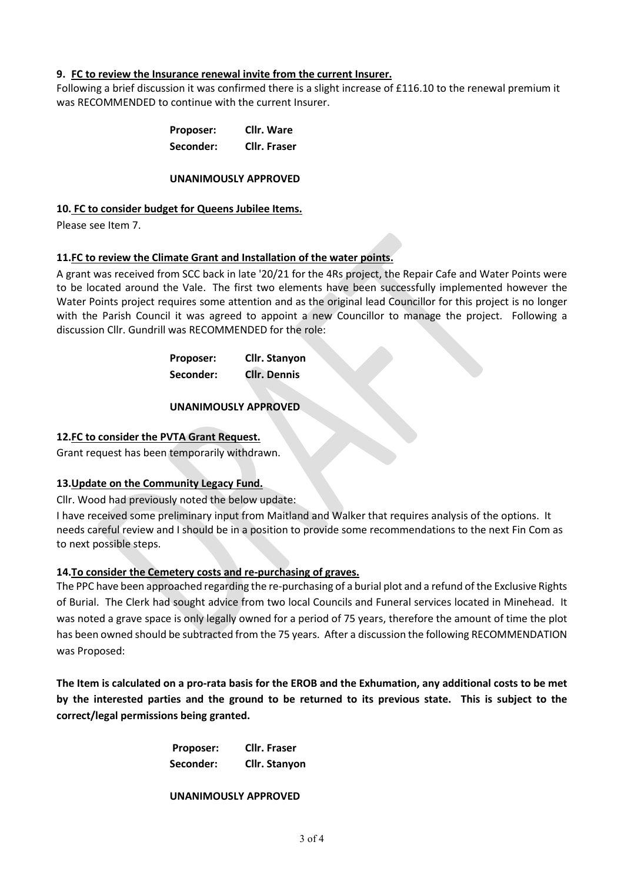### **9. FC to review the Insurance renewal invite from the current Insurer.**

Following a brief discussion it was confirmed there is a slight increase of £116.10 to the renewal premium it was RECOMMENDED to continue with the current Insurer.

| <b>Proposer:</b> | <b>Cllr. Ware</b>   |
|------------------|---------------------|
| Seconder:        | <b>Cllr. Fraser</b> |

#### **UNANIMOUSLY APPROVED**

#### **10. FC to consider budget for Queens Jubilee Items.**

Please see Item 7.

### **11.FC to review the Climate Grant and Installation of the water points.**

A grant was received from SCC back in late '20/21 for the 4Rs project, the Repair Cafe and Water Points were to be located around the Vale. The first two elements have been successfully implemented however the Water Points project requires some attention and as the original lead Councillor for this project is no longer with the Parish Council it was agreed to appoint a new Councillor to manage the project. Following a discussion Cllr. Gundrill was RECOMMENDED for the role:

| <b>Proposer:</b> | Cllr. Stanyon       |
|------------------|---------------------|
| Seconder:        | <b>Cllr. Dennis</b> |

#### **UNANIMOUSLY APPROVED**

#### **12.FC to consider the PVTA Grant Request.**

Grant request has been temporarily withdrawn.

# **13.Update on the Community Legacy Fund.**

Cllr. Wood had previously noted the below update:

I have received some preliminary input from Maitland and Walker that requires analysis of the options. It needs careful review and I should be in a position to provide some recommendations to the next Fin Com as to next possible steps.

# **14.To consider the Cemetery costs and re-purchasing of graves.**

The PPC have been approached regarding the re-purchasing of a burial plot and a refund of the Exclusive Rights of Burial. The Clerk had sought advice from two local Councils and Funeral services located in Minehead. It was noted a grave space is only legally owned for a period of 75 years, therefore the amount of time the plot has been owned should be subtracted from the 75 years. After a discussion the following RECOMMENDATION was Proposed:

**The Item is calculated on a pro-rata basis for the EROB and the Exhumation, any additional costs to be met by the interested parties and the ground to be returned to its previous state. This is subject to the correct/legal permissions being granted.** 

| Proposer: | <b>Cllr. Fraser</b> |
|-----------|---------------------|
| Seconder: | Cllr. Stanyon       |

#### **UNANIMOUSLY APPROVED**